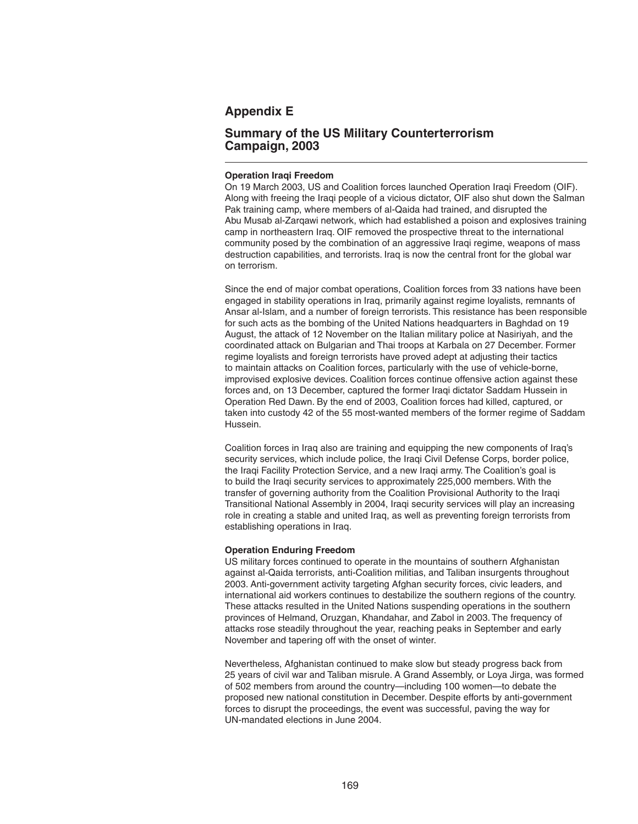## **Appendix E**

## **Summary of the US Military Counterterrorism Campaign, 2003**

## **Operation Iraqi Freedom**

On 19 March 2003, US and Coalition forces launched Operation Iragi Freedom (OIF). Along with freeing the Iraqi people of a vicious dictator, OIF also shut down the Salman Pak training camp, where members of al-Qaida had trained, and disrupted the Abu Musab al-Zarqawi network, which had established a poison and explosives training camp in northeastern Iraq. OIF removed the prospective threat to the international community posed by the combination of an aggressive Iraqi regime, weapons of mass destruction capabilities, and terrorists. Iraq is now the central front for the global war on terrorism.

Since the end of major combat operations, Coalition forces from 33 nations have been engaged in stability operations in Iraq, primarily against regime loyalists, remnants of Ansar al-Islam, and a number of foreign terrorists. This resistance has been responsible for such acts as the bombing of the United Nations headquarters in Baghdad on 19 August, the attack of 12 November on the Italian military police at Nasiriyah, and the coordinated attack on Bulgarian and Thai troops at Karbala on 27 December. Former regime loyalists and foreign terrorists have proved adept at adjusting their tactics to maintain attacks on Coalition forces, particularly with the use of vehicle-borne, improvised explosive devices. Coalition forces continue offensive action against these forces and, on 13 December, captured the former Iraqi dictator Saddam Hussein in Operation Red Dawn. By the end of 2003, Coalition forces had killed, captured, or taken into custody 42 of the 55 most-wanted members of the former regime of Saddam Hussein.

Coalition forces in Iraq also are training and equipping the new components of Iraq's security services, which include police, the Iraqi Civil Defense Corps, border police, the Iraqi Facility Protection Service, and a new Iraqi army. The Coalition's goal is to build the Iraqi security services to approximately 225,000 members. With the transfer of governing authority from the Coalition Provisional Authority to the Iraqi Transitional National Assembly in 2004, Iraqi security services will play an increasing role in creating a stable and united Iraq, as well as preventing foreign terrorists from establishing operations in Iraq.

## **Operation Enduring Freedom**

US military forces continued to operate in the mountains of southern Afghanistan against al-Qaida terrorists, anti-Coalition militias, and Taliban insurgents throughout 2003. Anti-government activity targeting Afghan security forces, civic leaders, and international aid workers continues to destabilize the southern regions of the country. These attacks resulted in the United Nations suspending operations in the southern provinces of Helmand, Oruzgan, Khandahar, and Zabol in 2003. The frequency of attacks rose steadily throughout the year, reaching peaks in September and early November and tapering off with the onset of winter.

Nevertheless, Afghanistan continued to make slow but steady progress back from 25 years of civil war and Taliban misrule. A Grand Assembly, or Loya Jirga, was formed of 502 members from around the country—including 100 women—to debate the proposed new national constitution in December. Despite efforts by anti-government forces to disrupt the proceedings, the event was successful, paving the way for UN-mandated elections in June 2004.